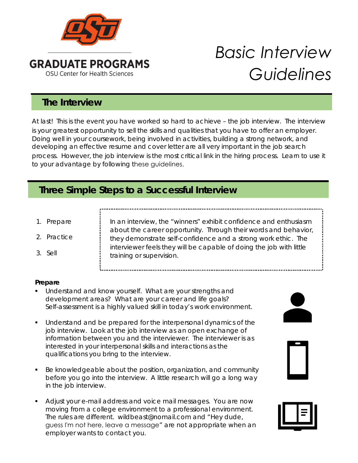

# *Basic Interview Guidelines*

### **The Interview**

At last! This is the event you have worked so hard to achieve – the job interview. The interview is your greatest opportunity to sell the skills and qualities that you have to offer an employer. Doing well in your coursework, being involved in activities, building a strong network, and developing an effective resume and cover letter are all very important in the job search process. However, the job interview is the most critical link in the hiring process. Learn to use it to your advantage by following these guidelines.

## **Three Simple Steps to a Successful Interview**

- 1. Prepare
- 2. Practice
- 3. Sell

*In an interview, the "winners" exhibit confidence and enthusiasm about the career opportunity. Through their words and behavior, they demonstrate self-confidence and a strong work ethic. The interviewer feels they will be capable of doing the job with little training or supervision.* 

#### **Prepare**

- **Understand and know yourself. What are your strengths and** development areas? What are your career and life goals? Self-assessment is a highly valued skill in today's work environment.
- Understand and be prepared for the interpersonal dynamics of the job interview. Look at the job interview as an open exchange of information between you and the interviewer. The interviewer is as interested in your interpersonal skills and interactions as the qualifications you bring to the interview.
- Be knowledgeable about the position, organization, and community before you go into the interview. A little research will go a long way in the job interview.
- Adjust your e-mail address and voice mail messages. You are now moving from a college environment to a professional environment. The rules are different. wildbeast@nomail.com and "Hey dude, guess I'm not here, leave a message" are not appropriate when an employer wants to contact you.





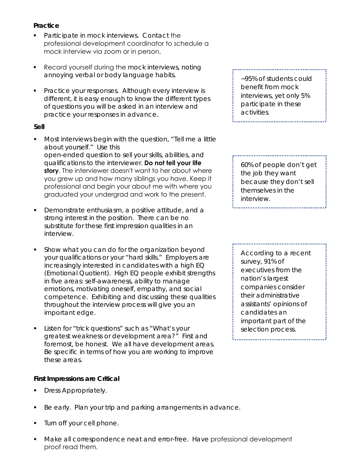#### **Practice**

- **Participate in mock interviews. Contact the** professional development coordinator to schedule a mock interview via zoom or in person.
- **Record yourself during the mock interviews, noting** annoying verbal or body language habits.
- Practice your responses. Although every interview is different, it is easy enough to know the different types of questions you will be asked in an interview and practice your responses in advance.

#### **Sell**

- Most interviews begin with the question, "Tell me a little about yourself." Use this open-ended question to sell your skills, abilities, and qualifications to the interviewer. **Do not tell your life**  story. The interviewer doesn't want to her about where you grew up and how many siblings you have. Keep it professional and begin your about me with where you graduated your undergrad and work to the present.
- Demonstrate enthusiasm, a positive attitude, and a strong interest in the position. There can be no substitute for these first impression qualities in an interview.
- Show what you can do for the organization beyond your qualifications or your "hard skills." Employers are increasingly interested in candidates with a high EQ (Emotional Quotient). High EQ people exhibit strengths in five areas: self-awareness, ability to manage emotions, motivating oneself, empathy, and social competence. Exhibiting and discussing these qualities throughout the interview process will give you an important edge.
- Listen for "trick questions" such as "What's your greatest weakness or development area?" First and foremost, be honest. We all have development areas. Be specific in terms of how you are working to improve these areas.

#### **First Impressions are Critical**

- Dress Appropriately.
- Be early. Plan your trip and parking arrangements in advance.
- Turn off your cell phone.
- Make all correspondence neat and error-free. Have professional development proof read them.

*~95% of students could benefit from mock interviews, yet only 5% participate in these activities.*  

*60% of people don't get the job they want because they don't sell themselves in the interview.*

*According to a recent survey, 91% of executives from the nation's largest companies consider their administrative assistants' opinions of candidates an important part of the selection process.*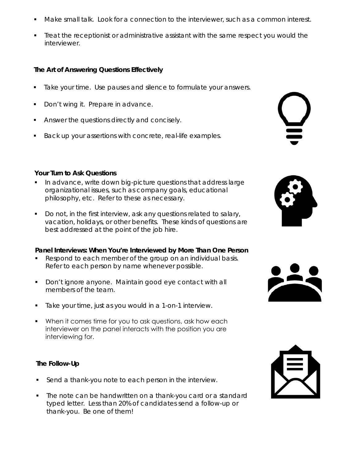- Make small talk. Look for a connection to the interviewer, such as a common interest.
- Treat the receptionist or administrative assistant with the same respect you would the interviewer.

#### **The Art of Answering Questions Effectively**

- Take your time. Use pauses and silence to formulate your answers.
- Don't wing it. Prepare in advance.
- Answer the questions directly and concisely.
- **Back up your assertions with concrete, real-life examples.**

#### **Your Turn to Ask Questions**

- In advance, write down big-picture questions that address large organizational issues, such as company goals, educational philosophy, etc. Refer to these as necessary.
- Do not, in the first interview, ask any questions related to salary, vacation, holidays, or other benefits. These kinds of questions are best addressed at the point of the job hire.

#### **Panel Interviews: When You're Interviewed by More Than One Person**

- Respond to each member of the group on an individual basis. Refer to each person by name whenever possible.
- Don't ignore anyone. Maintain good eye contact with all members of the team.
- Take your time, just as you would in a 1-on-1 interview.
- When it comes time for you to ask questions, ask how each interviewer on the panel interacts with the position you are interviewing for.

#### **The Follow-Up**

- **Send a thank-you note to each person in the interview.**
- The note can be handwritten on a thank-you card or a standard typed letter. Less than 20% of candidates send a follow-up or thank-you. Be one of them!